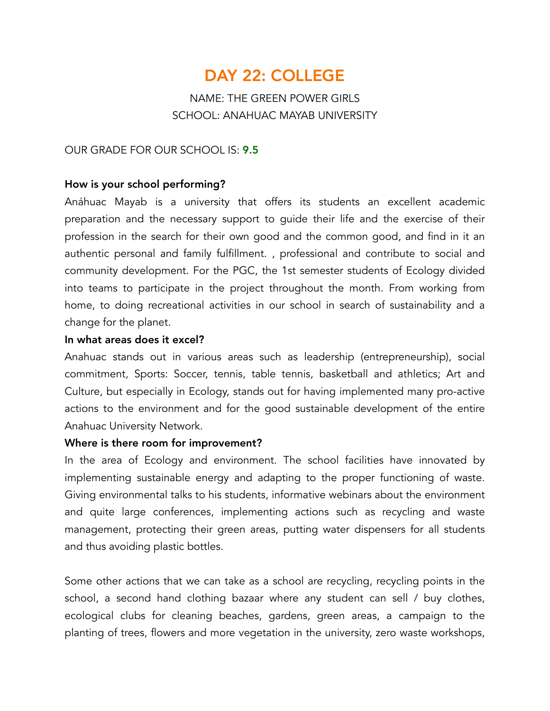# DAY 22: COLLEGE

# NAME: THE GREEN POWER GIRLS SCHOOL: ANAHUAC MAYAB UNIVERSITY

## OUR GRADE FOR OUR SCHOOL IS: 9.5

### How is your school performing?

Anáhuac Mayab is a university that offers its students an excellent academic preparation and the necessary support to guide their life and the exercise of their profession in the search for their own good and the common good, and find in it an authentic personal and family fulfillment. , professional and contribute to social and community development. For the PGC, the 1st semester students of Ecology divided into teams to participate in the project throughout the month. From working from home, to doing recreational activities in our school in search of sustainability and a change for the planet.

#### In what areas does it excel?

Anahuac stands out in various areas such as leadership (entrepreneurship), social commitment, Sports: Soccer, tennis, table tennis, basketball and athletics; Art and Culture, but especially in Ecology, stands out for having implemented many pro-active actions to the environment and for the good sustainable development of the entire Anahuac University Network.

#### Where is there room for improvement?

In the area of Ecology and environment. The school facilities have innovated by implementing sustainable energy and adapting to the proper functioning of waste. Giving environmental talks to his students, informative webinars about the environment and quite large conferences, implementing actions such as recycling and waste management, protecting their green areas, putting water dispensers for all students and thus avoiding plastic bottles.

Some other actions that we can take as a school are recycling, recycling points in the school, a second hand clothing bazaar where any student can sell / buy clothes, ecological clubs for cleaning beaches, gardens, green areas, a campaign to the planting of trees, flowers and more vegetation in the university, zero waste workshops,